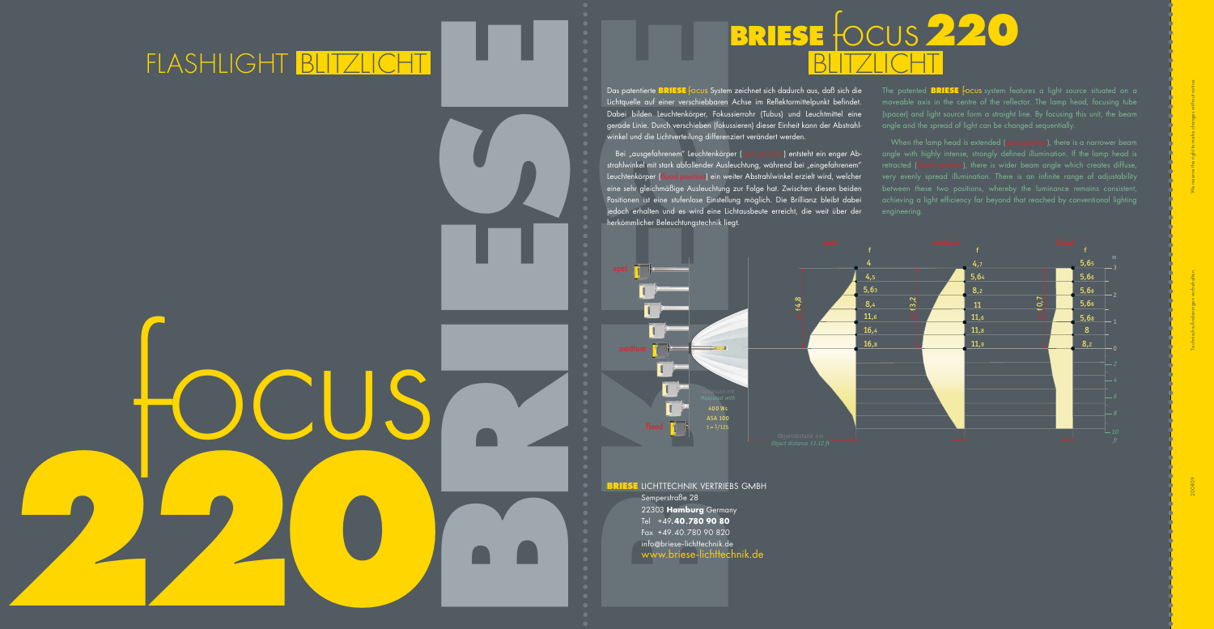**0**

herkömmlicher Beleuchtungstechnik liegt.

**BRIESE** LICHTTECHNIK VERTRIEBS GMBH Semperstraße 28 22303 **Hamburg** Germany Tel +49**.40.780 90 80** Fax +49.40.780 90 820 info @briese-lichttechnik.de www.briese-lichttechnik.de



## FLASH LIGHT BLITZLICHT BLITZLICHT

Bei "ausgefahrenem" Leuchtenkörper (spot position) entsteht ein enger Abstrahlwinkel mit stark abfallender Ausleuchtung, während bei "eingefahrenem" Leuchtenkörper (flood position) ein weiter Abstrahlwinkel erzielt wird, welcher eine sehr gleichmäßige Ausleuchtung zur Folge hat. Zwischen diesen beiden Positionen ist eine stufenlose Einstellung möglich. Die Brillianz bleibt dabei jedoch erhalten und es wird eine Lichtausbeute erreicht, die weit über der

Das patentierte **BRIESE** focus System zeichnet sich dadurch aus, daß sich die Lichtquelle auf einer verschiebbaren Achse im Reflektormittelpunkt befindet. Dabei bilden Leuchtenkörper, Fokussierrohr (Tubus) und Leuchtmittel eine gerade Linie. Durch verschieben (fokussieren) dieser Einheit kann der Abstrahlwinkel und die Lichtverteilung differenziert verändert werden.

When the lamp head is extended (spot position), there is a narrower beam angle with highly intense, strongly defined illumination. If the lamp head is retracted (flood position), there is wider beam angle which creates diffuse, very evenly spread illumination. There is an infinite range of adjustability achieving a light efficiency far beyond that reached by conventional lighting engineering.

The patented **BRIESE** focus system features a light source situated on a moveable axis in the centre of the reflector. The lamp head, focusing tube (spacer) and light source form a straight line. By focusing this unit, the beam angle and the spread of light can be changed sequentially.